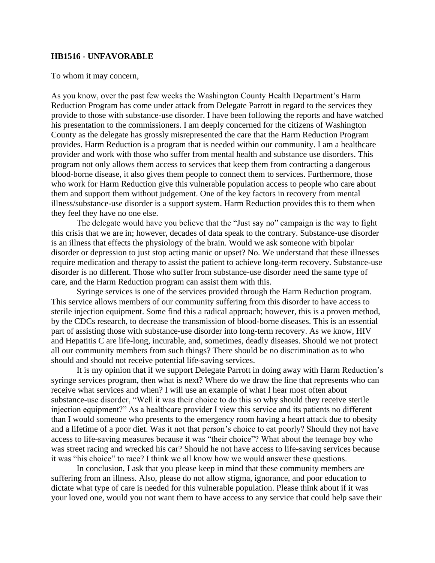## **HB1516 - UNFAVORABLE**

To whom it may concern,

As you know, over the past few weeks the Washington County Health Department's Harm Reduction Program has come under attack from Delegate Parrott in regard to the services they provide to those with substance-use disorder. I have been following the reports and have watched his presentation to the commissioners. I am deeply concerned for the citizens of Washington County as the delegate has grossly misrepresented the care that the Harm Reduction Program provides. Harm Reduction is a program that is needed within our community. I am a healthcare provider and work with those who suffer from mental health and substance use disorders. This program not only allows them access to services that keep them from contracting a dangerous blood-borne disease, it also gives them people to connect them to services. Furthermore, those who work for Harm Reduction give this vulnerable population access to people who care about them and support them without judgement. One of the key factors in recovery from mental illness/substance-use disorder is a support system. Harm Reduction provides this to them when they feel they have no one else.

The delegate would have you believe that the "Just say no" campaign is the way to fight this crisis that we are in; however, decades of data speak to the contrary. Substance-use disorder is an illness that effects the physiology of the brain. Would we ask someone with bipolar disorder or depression to just stop acting manic or upset? No. We understand that these illnesses require medication and therapy to assist the patient to achieve long-term recovery. Substance-use disorder is no different. Those who suffer from substance-use disorder need the same type of care, and the Harm Reduction program can assist them with this.

Syringe services is one of the services provided through the Harm Reduction program. This service allows members of our community suffering from this disorder to have access to sterile injection equipment. Some find this a radical approach; however, this is a proven method, by the CDCs research, to decrease the transmission of blood-borne diseases. This is an essential part of assisting those with substance-use disorder into long-term recovery. As we know, HIV and Hepatitis C are life-long, incurable, and, sometimes, deadly diseases. Should we not protect all our community members from such things? There should be no discrimination as to who should and should not receive potential life-saving services.

It is my opinion that if we support Delegate Parrott in doing away with Harm Reduction's syringe services program, then what is next? Where do we draw the line that represents who can receive what services and when? I will use an example of what I hear most often about substance-use disorder, "Well it was their choice to do this so why should they receive sterile injection equipment?" As a healthcare provider I view this service and its patients no different than I would someone who presents to the emergency room having a heart attack due to obesity and a lifetime of a poor diet. Was it not that person's choice to eat poorly? Should they not have access to life-saving measures because it was "their choice"? What about the teenage boy who was street racing and wrecked his car? Should he not have access to life-saving services because it was "his choice" to race? I think we all know how we would answer these questions.

In conclusion, I ask that you please keep in mind that these community members are suffering from an illness. Also, please do not allow stigma, ignorance, and poor education to dictate what type of care is needed for this vulnerable population. Please think about if it was your loved one, would you not want them to have access to any service that could help save their